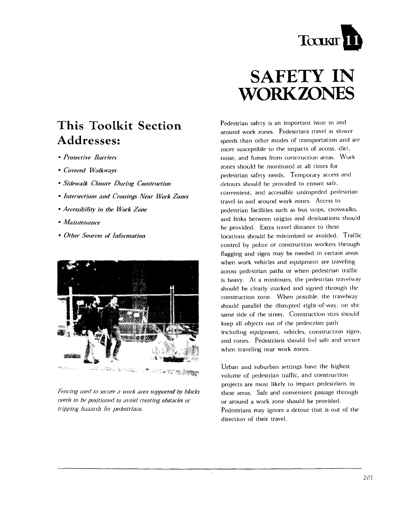

# This Toolkit Section Addresses:

- Protective Barriers
- Covered Walkways
- Sidewalk Closure During Construction
- Intersections and Crossings Near Work Zones
- Accessibility in the Work Zone
- Maintenance
- Other Sources of Information



Fencing used to secure a work area supported by blocks needs to be positioned to avoid creating obstacles or tripping hazards for pedestrians.

# **SAFETY IN WORKZONES**

Pedestrian safety is an important issue in and around work zones. Pedestrians travel at slower speeds than other modes of transportation and are more susceptible to the impacts of access, dirt, noise, and fumes from construction areas. Work zones should be monitored at all times for pedestrian safety needs. Temporary access and detours should be provided to ensure safe. convenient, and accessible unimpeded pedestrian travel in and around work zones. Access to nedestrian facilities such as bus stops, crosswalks, and links between origins and destinations should be provided. Extra travel distance to these locations should be minimized or avoided. Traffic control by police or construction workers through flagging and signs may be needed in certain areas when work vehicles and equipment are traveling across pedestrian paths or when pedestrian traffic is heavy. At a minimum, the pedestrian travelway should be clearly marked and signed through the construction zone. When possible, the travelway should parallel the disrupted right-of-way, on the same side of the street. Construction sites should keep all objects out of the pedestrian path including equipment, vehicles, construction signs, and cones. Pedestrians should feel safe and secure when traveling near work zones.

Urban and suburban settings have the highest volume of pedestrian traffic, and construction projects are most likely to impact pedestrians in these areas. Safe and convenient passage through or around a work zone should be provided. Pedestrians may ignore a detour that is out of the direction of their travel.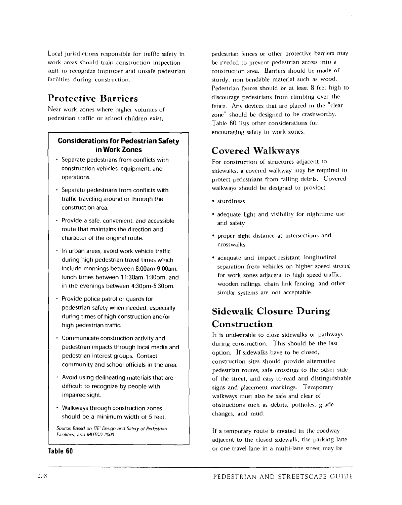Local jurisdictions responsible for traffic safety in work areas should train construction inspection staff to recognize improper and unsafe pedestrian facilities during construction.

## **Protective Barriers**

Near work zones where higher volumes of pedestrian traffic or school children exist.

#### **Considerations for Pedestrian Safety in Work Zones**

- Separate pedestrians from conflicts with construction vehicles, equipment, and operations.
- Separate pedestrians from conflicts with traffic traveling around or through the construction area.
- Provide a safe, convenient, and accessible route that maintains the direction and character of the original route.
- $\cdot$  In urban areas, avoid work vehicle traffic during high pedestrian travel times which include mornings between 8:OOam-9:OOam. lunch times between 11:30am-1:30pm, and in the evenings between 4:30pm-5:30pm.
- Provide police patrol or quards for pedestrian safety when needed, especially during times of high construction and/or high pedestrian traffic.
- Communicate construction activity and pedestrian impacts through local media and pedestrian interest groups. Contact community and school officials in the area.
- Avoid using delineating materials that are difficult to recognize by people with impaired sight.
- Walkways through construction zones should be a minimum width of 5 feet.

Source: Based on ITE' Design and Safety of Pedestrian Facilities: and MUTCD 2000

Table 60

pedestrian fences or other protective barriers may he needed to prcvcnt pedestrian access inlo a construction area. Barriers should be macie **of**  sturdy, non-bendable material such as wood. Pedestrian fences should be at least 8 feet high to discourage pedestrians from climbing over the fence. Any devices that arc placed in the "clear zone" should be designed to be crashworthv. Table 60 lists other considerations for encouraging safety in work zones.

## **Covered Walkways**

For construction of structures adjacent to sidewalks, a covered walkway may be required to protect pedcstrians from falling debris. Covered walkways should be designed to provide:

- sturdiness
- adequate light and visibility for nighttime use and safety
- proper sight distance at intersections and crosswalks
- adequate and impact-resistant longitudinal separation from vehicles on higher speed streets; for work zones adjacent to high speed traffic, wooden railings, chain link fencing, and other similar systems are not acceptable

# **Sidewalk Closure During Construction**

It is undesirable to close sidewalks or pathways during construction. This should be the last option. If sidewalks have to be closed, construction sites should provide alternative pedestrian routes, safe crossings to the other side of the street, and easy-to-read and distinguisliable signs and placement markings. Temporary walkways rnust also be safe and clear of obstructions such as debris, potholes, grade changes, and mud.

If a temporary route is created in the roadway adjacent to the closcd sidewalk, the parking lane or one travel lane in a multi-lane street may be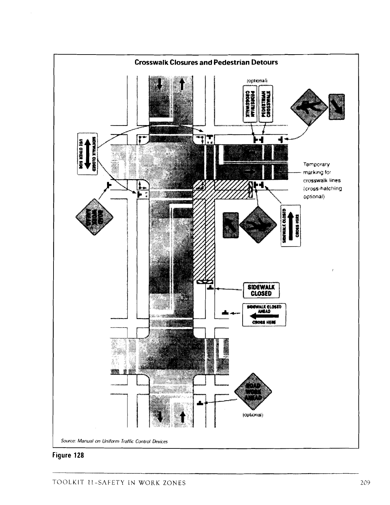

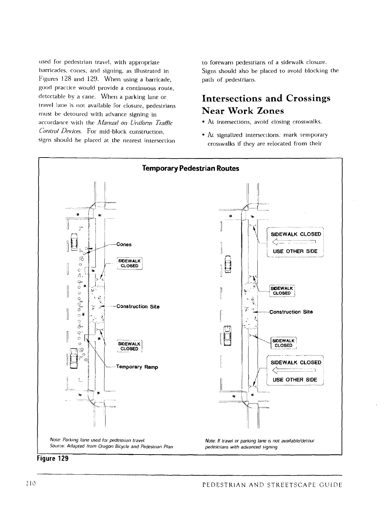used for pedestrian travel, with appropriate barricades, cones, and signing, as illustrated in Figures 128 and 129. When using a barricade, good practice would provide a continuous route. detectable by a cane. When a parking lane or travel lane is not available for closure, pedestrians must be detoured with advance signing in accordance with the Manual on Uniform Traffic Control Devices. For mid-block construction. signs should be placed at the nearest intersection

to forewarn pedestrians of a sidewalk closure. Signs should also be placed to avoid blocking the path of pedestrians.

### **Intersections and Crossings Near Work Zones**

- At intersections, avoid closing crosswalks.
- At signalized intersections, mark temporary crosswalks if they are relocated from their



Figure 129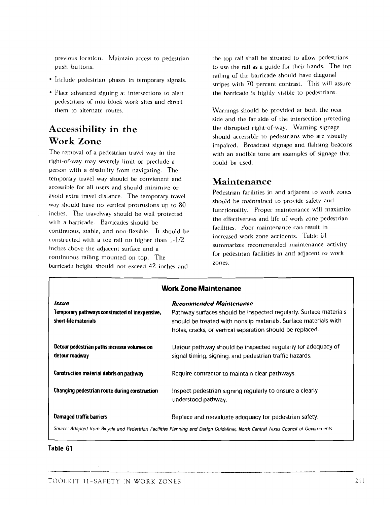previous location. Maintain access to pedestrian the top rail shall be situated to allow pedestrians

- Include pedestrian phases in temporary signals.
- Place advanced signing at intersections to alert pedestrians of mid-block work sites and direct them to alternate routes.

## **Accessibility in the Work Zone**

The removal of a pedestrian travel way in the right of-way rnay severely limit or preclude a person with a disability from navigating. Thc temporary travel way should be convienent and accessible **Tor** all users and should minimize or. avoid extra travel distance. The temporary travel way should have no vertical protrusions up to 80 inches. The travelway should be well protected with a barricade. Barricades should be continuous, stable, and non-flexible. It should bc constructed with a toe rail no higher than  $1-1/2$ inchcs above thc adjacent surface and a continuous railing mounted on top. The barricade height should not exceed 42 inches and

push buttons. to usc the rail as a guide for their hands. The top railing of the barricade should have diagonal stripes with 70 percent contrast. This will assure the barricade is highly visible to pcdcstrians.

> Warnings should be provided at both the near side and the far side of the intersection preceding the disrupted right-of-way. Warning signagc should accessible to pedestrians who are visually impaired. Broadcast signage and flahsing beacons with an audible tone are examples of signage that could be used.

#### **Maintenance**

Pedestrian facilities in and adjacent to work zones should be maintained to provide safety and functionality. Proper maintenance will maximize the effectiveness and life of work zone pedestrian facilities. Poor maintenance can result in increased work zonc accidents. Table 61 summarizes recommended maintenance activity for pedestrian facilities in and adjacent to work zones.

| <b>Work Zone Maintenance</b>                                                                                                      |                                                                                                                                                                                                                                      |
|-----------------------------------------------------------------------------------------------------------------------------------|--------------------------------------------------------------------------------------------------------------------------------------------------------------------------------------------------------------------------------------|
| Issue<br>Temporary pathways constructed of inexpensive,<br>short-life materials                                                   | <b>Recommended Maintenance</b><br>Pathway surfaces should be inspected regularly. Surface materials<br>should be treated with nonslip materials. Surface materials with<br>holes, cracks, or vertical separation should be replaced. |
| Detour pedestrian paths increase volumes on<br>detour roadway                                                                     | Detour pathway should be inspected regularly for adequacy of<br>signal timing, signing, and pedestrian traffic hazards.                                                                                                              |
| Construction material debris on pathway                                                                                           | Require contractor to maintain clear pathways.                                                                                                                                                                                       |
| Changing pedestrian route during construction                                                                                     | Inspect pedestrian signing regularly to ensure a clearly<br>understood pathway.                                                                                                                                                      |
| <b>Damaged traffic barriers</b>                                                                                                   | Replace and reevaluate adequacy for pedestrian safety.                                                                                                                                                                               |
| Source: Adapted from Bicycle and Pedestrian Facilities Planning and Design Guidelines, North Central Texas Council of Governments |                                                                                                                                                                                                                                      |